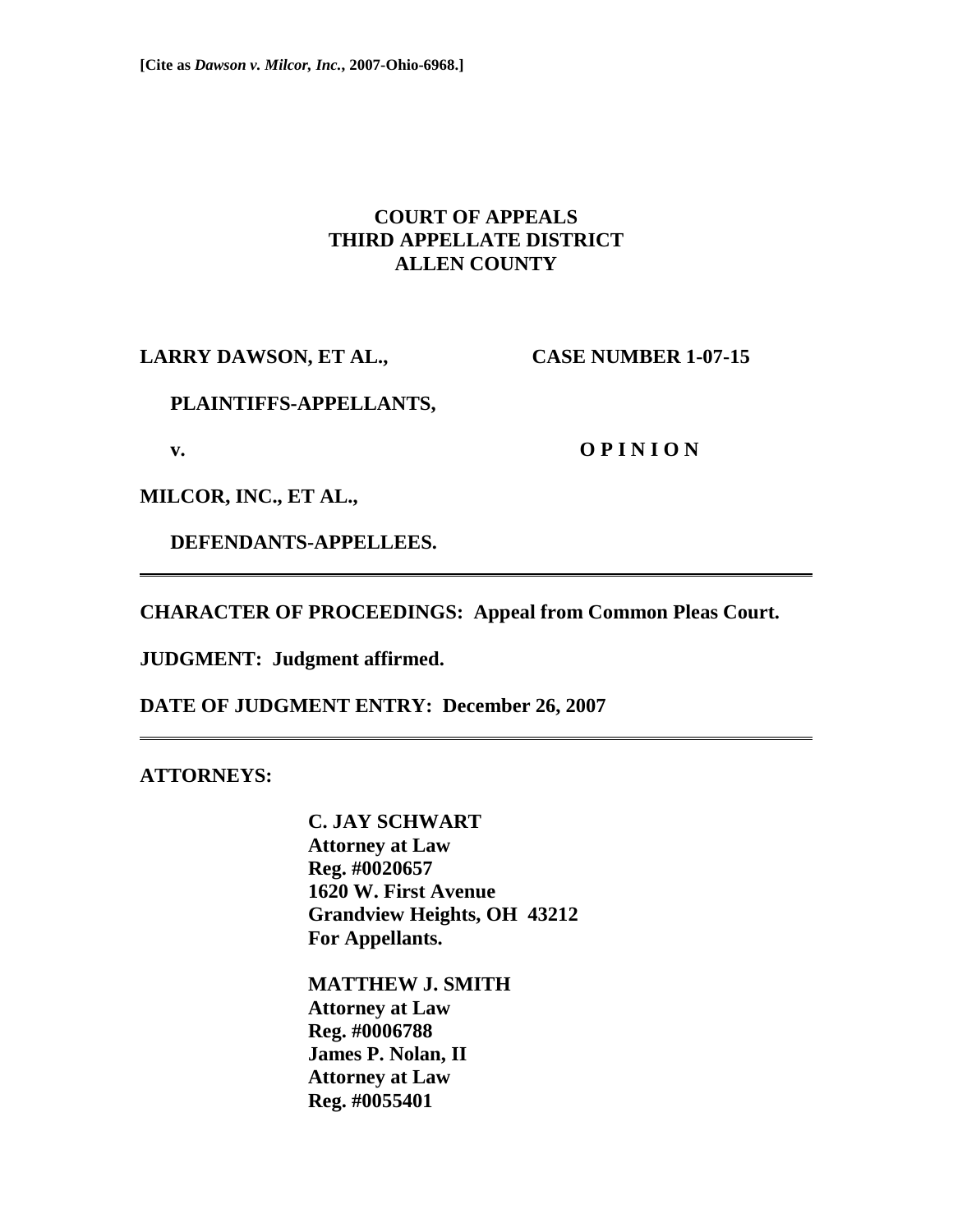## **COURT OF APPEALS THIRD APPELLATE DISTRICT ALLEN COUNTY**

**LARRY DAWSON, ET AL., CASE NUMBER 1-07-15** 

#### **PLAINTIFFS-APPELLANTS,**

**v. O P I N I O N** 

**MILCOR, INC., ET AL.,** 

 **DEFENDANTS-APPELLEES.** 

**CHARACTER OF PROCEEDINGS: Appeal from Common Pleas Court.** 

**JUDGMENT: Judgment affirmed.** 

**DATE OF JUDGMENT ENTRY: December 26, 2007** 

**ATTORNEYS:** 

 **C. JAY SCHWART Attorney at Law Reg. #0020657 1620 W. First Avenue Grandview Heights, OH 43212 For Appellants.** 

 **MATTHEW J. SMITH Attorney at Law Reg. #0006788 James P. Nolan, II Attorney at Law Reg. #0055401**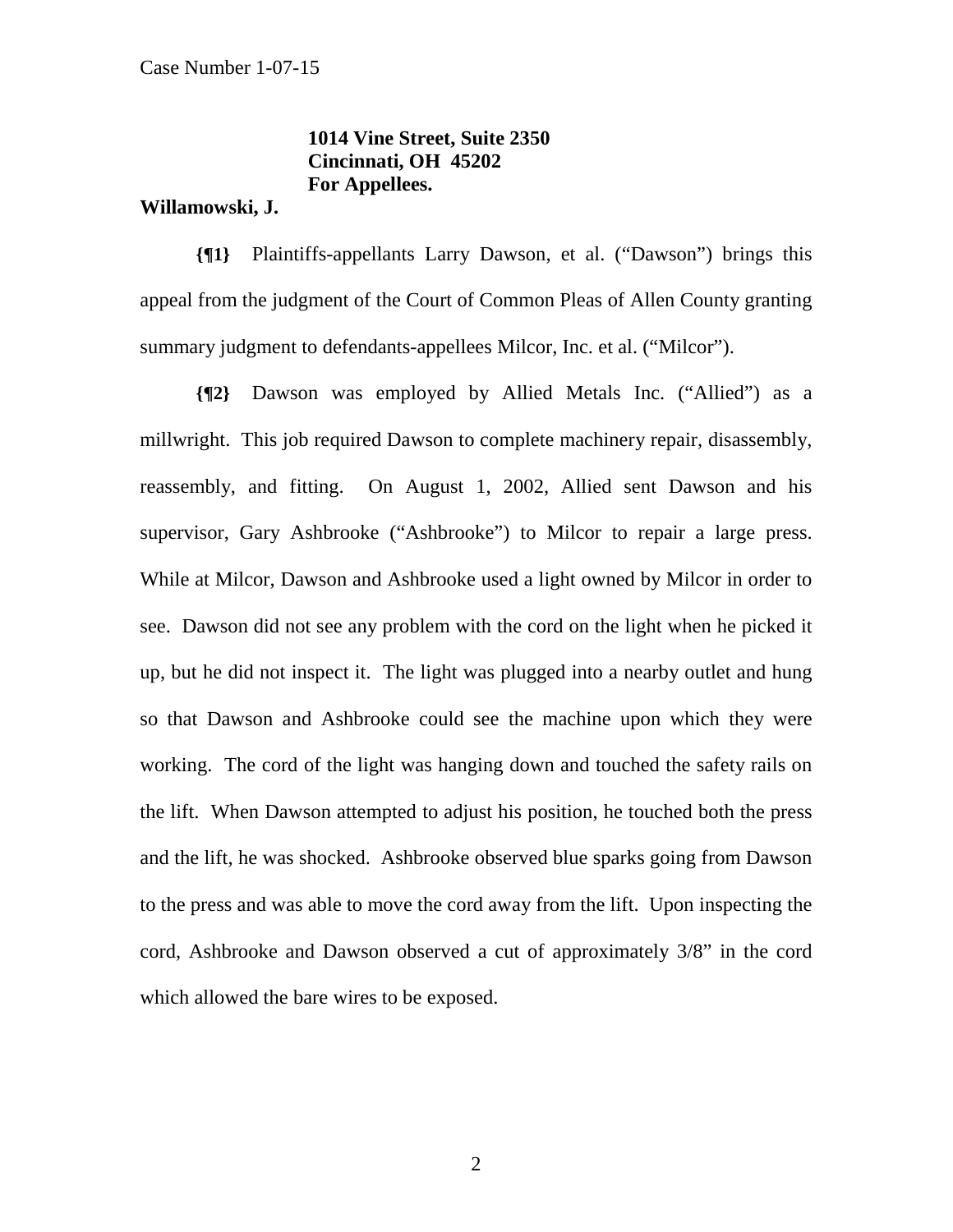# **1014 Vine Street, Suite 2350 Cincinnati, OH 45202 For Appellees.**

#### **Willamowski, J.**

**{¶1}** Plaintiffs-appellants Larry Dawson, et al. ("Dawson") brings this appeal from the judgment of the Court of Common Pleas of Allen County granting summary judgment to defendants-appellees Milcor, Inc. et al. ("Milcor").

**{¶2}** Dawson was employed by Allied Metals Inc. ("Allied") as a millwright. This job required Dawson to complete machinery repair, disassembly, reassembly, and fitting. On August 1, 2002, Allied sent Dawson and his supervisor, Gary Ashbrooke ("Ashbrooke") to Milcor to repair a large press. While at Milcor, Dawson and Ashbrooke used a light owned by Milcor in order to see. Dawson did not see any problem with the cord on the light when he picked it up, but he did not inspect it. The light was plugged into a nearby outlet and hung so that Dawson and Ashbrooke could see the machine upon which they were working. The cord of the light was hanging down and touched the safety rails on the lift. When Dawson attempted to adjust his position, he touched both the press and the lift, he was shocked. Ashbrooke observed blue sparks going from Dawson to the press and was able to move the cord away from the lift. Upon inspecting the cord, Ashbrooke and Dawson observed a cut of approximately 3/8" in the cord which allowed the bare wires to be exposed.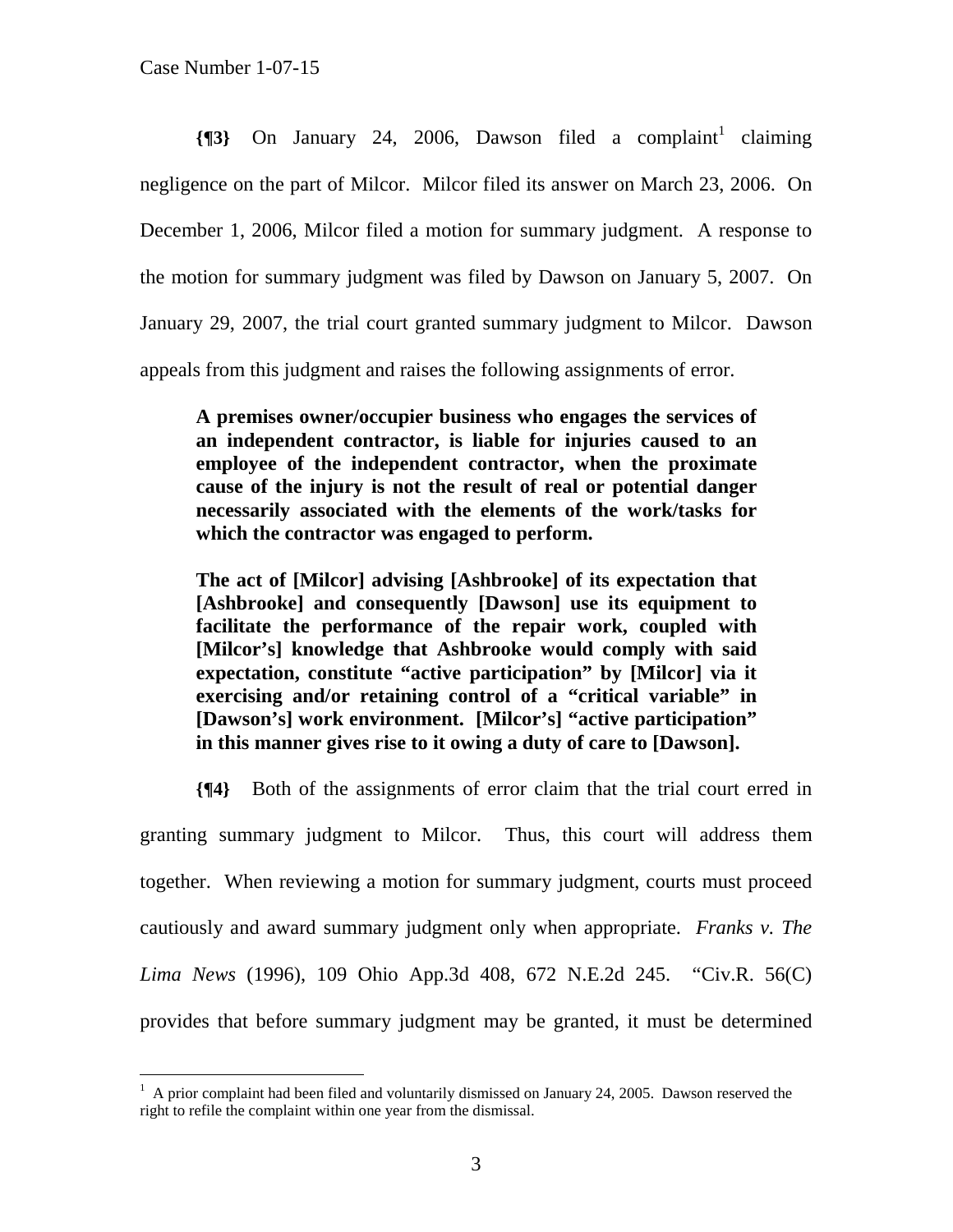$\overline{a}$ 

 $\{\P 3\}$  On January 24, 2006, Dawson filed a complaint<sup>1</sup> claiming negligence on the part of Milcor. Milcor filed its answer on March 23, 2006. On December 1, 2006, Milcor filed a motion for summary judgment. A response to the motion for summary judgment was filed by Dawson on January 5, 2007. On January 29, 2007, the trial court granted summary judgment to Milcor. Dawson appeals from this judgment and raises the following assignments of error.

**A premises owner/occupier business who engages the services of an independent contractor, is liable for injuries caused to an employee of the independent contractor, when the proximate cause of the injury is not the result of real or potential danger necessarily associated with the elements of the work/tasks for which the contractor was engaged to perform.** 

**The act of [Milcor] advising [Ashbrooke] of its expectation that [Ashbrooke] and consequently [Dawson] use its equipment to facilitate the performance of the repair work, coupled with [Milcor's] knowledge that Ashbrooke would comply with said expectation, constitute "active participation" by [Milcor] via it exercising and/or retaining control of a "critical variable" in [Dawson's] work environment. [Milcor's] "active participation" in this manner gives rise to it owing a duty of care to [Dawson].** 

**{¶4}** Both of the assignments of error claim that the trial court erred in granting summary judgment to Milcor. Thus, this court will address them together. When reviewing a motion for summary judgment, courts must proceed cautiously and award summary judgment only when appropriate. *Franks v. The Lima News* (1996), 109 Ohio App.3d 408, 672 N.E.2d 245. "Civ.R. 56(C) provides that before summary judgment may be granted, it must be determined

 $1$  A prior complaint had been filed and voluntarily dismissed on January 24, 2005. Dawson reserved the right to refile the complaint within one year from the dismissal.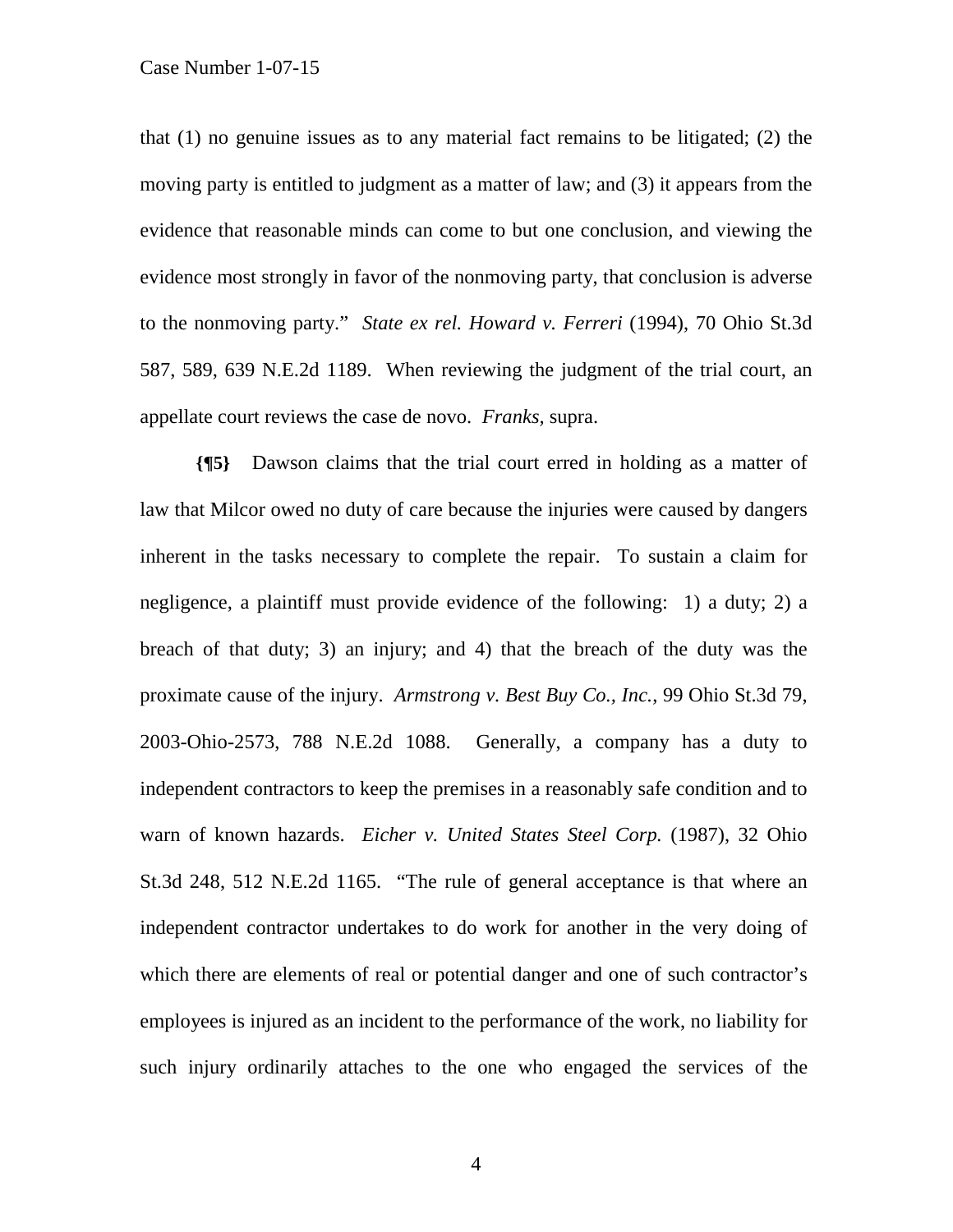Case Number 1-07-15

that (1) no genuine issues as to any material fact remains to be litigated; (2) the moving party is entitled to judgment as a matter of law; and (3) it appears from the evidence that reasonable minds can come to but one conclusion, and viewing the evidence most strongly in favor of the nonmoving party, that conclusion is adverse to the nonmoving party." *State ex rel. Howard v. Ferreri* (1994), 70 Ohio St.3d 587, 589, 639 N.E.2d 1189. When reviewing the judgment of the trial court, an appellate court reviews the case de novo. *Franks,* supra.

**{¶5}** Dawson claims that the trial court erred in holding as a matter of law that Milcor owed no duty of care because the injuries were caused by dangers inherent in the tasks necessary to complete the repair. To sustain a claim for negligence, a plaintiff must provide evidence of the following: 1) a duty; 2) a breach of that duty; 3) an injury; and 4) that the breach of the duty was the proximate cause of the injury. *Armstrong v. Best Buy Co., Inc.*, 99 Ohio St.3d 79, 2003-Ohio-2573, 788 N.E.2d 1088. Generally, a company has a duty to independent contractors to keep the premises in a reasonably safe condition and to warn of known hazards. *Eicher v. United States Steel Corp.* (1987), 32 Ohio St.3d 248, 512 N.E.2d 1165. "The rule of general acceptance is that where an independent contractor undertakes to do work for another in the very doing of which there are elements of real or potential danger and one of such contractor's employees is injured as an incident to the performance of the work, no liability for such injury ordinarily attaches to the one who engaged the services of the

4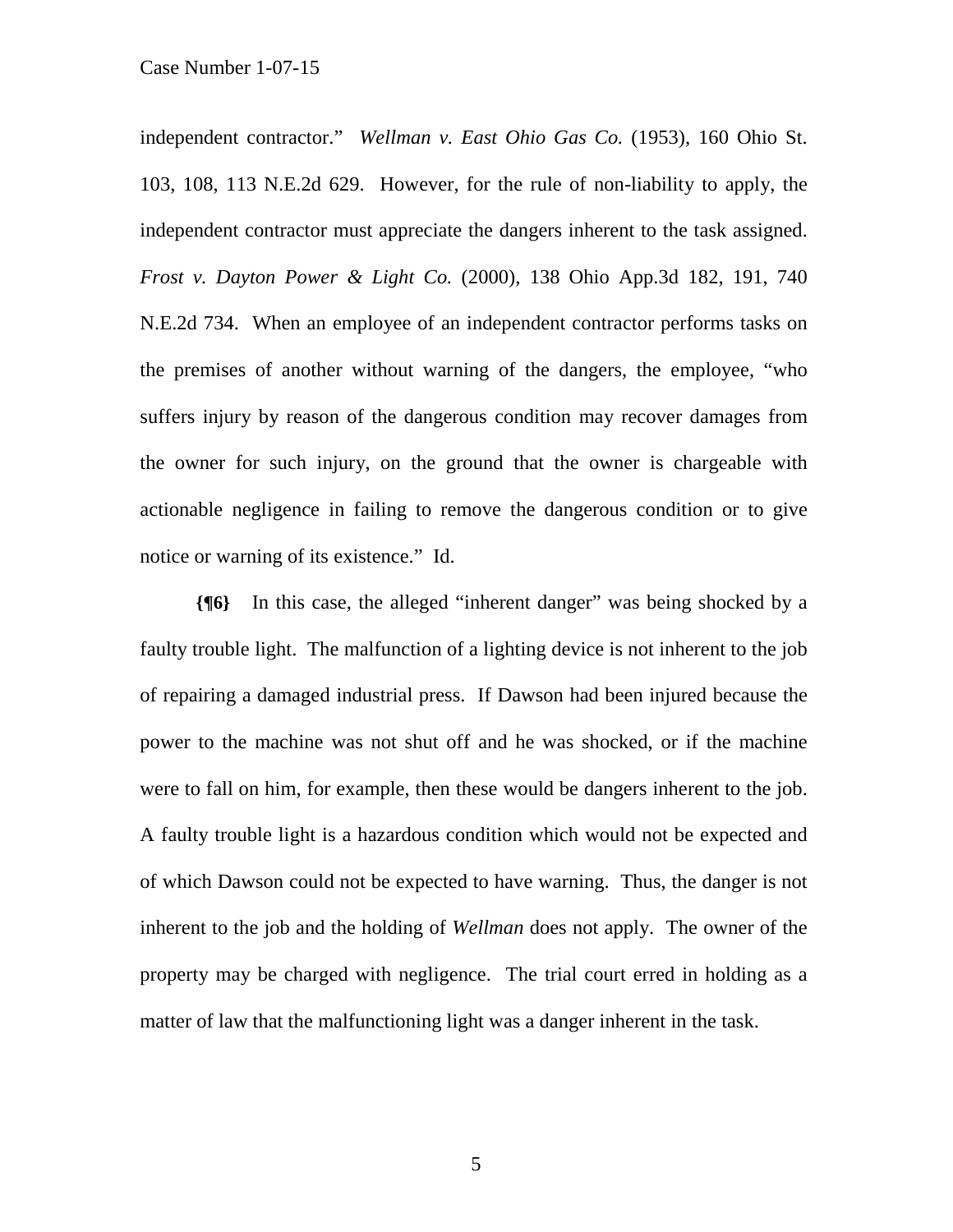independent contractor." *Wellman v. East Ohio Gas Co.* (1953), 160 Ohio St. 103, 108, 113 N.E.2d 629. However, for the rule of non-liability to apply, the independent contractor must appreciate the dangers inherent to the task assigned. *Frost v. Dayton Power & Light Co.* (2000), 138 Ohio App.3d 182, 191, 740 N.E.2d 734. When an employee of an independent contractor performs tasks on the premises of another without warning of the dangers, the employee, "who suffers injury by reason of the dangerous condition may recover damages from the owner for such injury, on the ground that the owner is chargeable with actionable negligence in failing to remove the dangerous condition or to give notice or warning of its existence." Id.

**{¶6}** In this case, the alleged "inherent danger" was being shocked by a faulty trouble light. The malfunction of a lighting device is not inherent to the job of repairing a damaged industrial press. If Dawson had been injured because the power to the machine was not shut off and he was shocked, or if the machine were to fall on him, for example, then these would be dangers inherent to the job. A faulty trouble light is a hazardous condition which would not be expected and of which Dawson could not be expected to have warning. Thus, the danger is not inherent to the job and the holding of *Wellman* does not apply. The owner of the property may be charged with negligence. The trial court erred in holding as a matter of law that the malfunctioning light was a danger inherent in the task.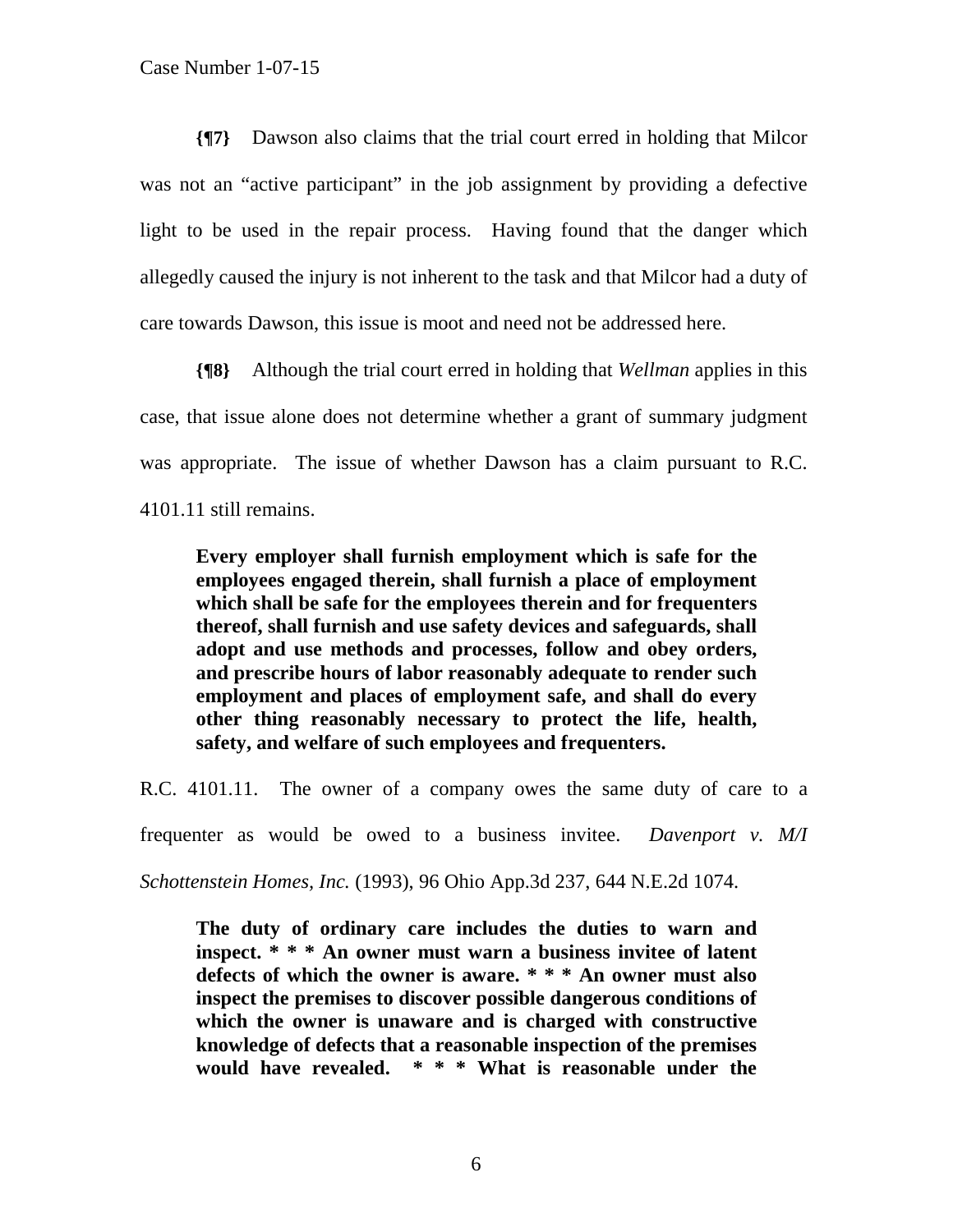**{¶7}** Dawson also claims that the trial court erred in holding that Milcor was not an "active participant" in the job assignment by providing a defective light to be used in the repair process. Having found that the danger which allegedly caused the injury is not inherent to the task and that Milcor had a duty of care towards Dawson, this issue is moot and need not be addressed here.

**{¶8}** Although the trial court erred in holding that *Wellman* applies in this case, that issue alone does not determine whether a grant of summary judgment was appropriate. The issue of whether Dawson has a claim pursuant to R.C. 4101.11 still remains.

**Every employer shall furnish employment which is safe for the employees engaged therein, shall furnish a place of employment which shall be safe for the employees therein and for frequenters thereof, shall furnish and use safety devices and safeguards, shall adopt and use methods and processes, follow and obey orders, and prescribe hours of labor reasonably adequate to render such employment and places of employment safe, and shall do every other thing reasonably necessary to protect the life, health, safety, and welfare of such employees and frequenters.** 

R.C. 4101.11. The owner of a company owes the same duty of care to a frequenter as would be owed to a business invitee. *Davenport v. M/I Schottenstein Homes, Inc.* (1993), 96 Ohio App.3d 237, 644 N.E.2d 1074.

**The duty of ordinary care includes the duties to warn and inspect. \* \* \* An owner must warn a business invitee of latent defects of which the owner is aware. \* \* \* An owner must also inspect the premises to discover possible dangerous conditions of which the owner is unaware and is charged with constructive knowledge of defects that a reasonable inspection of the premises would have revealed. \* \* \* What is reasonable under the**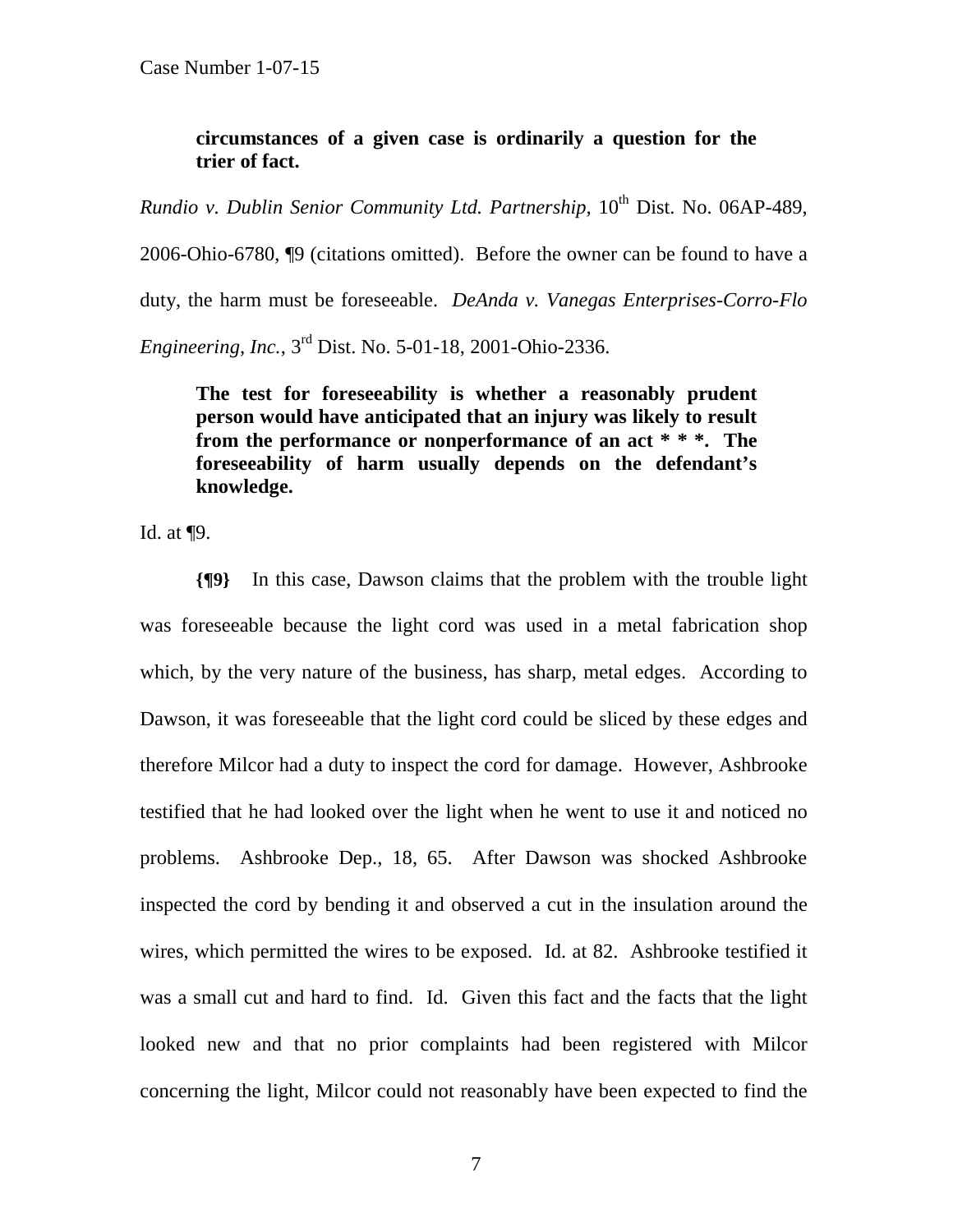### **circumstances of a given case is ordinarily a question for the trier of fact.**

*Rundio v. Dublin Senior Community Ltd. Partnership, 10<sup>th</sup> Dist. No. 06AP-489,* 

2006-Ohio-6780, ¶9 (citations omitted). Before the owner can be found to have a duty, the harm must be foreseeable. *DeAnda v. Vanegas Enterprises-Corro-Flo Engineering, Inc.*, 3rd Dist. No. 5-01-18, 2001-Ohio-2336.

**The test for foreseeability is whether a reasonably prudent person would have anticipated that an injury was likely to result from the performance or nonperformance of an act \* \* \*. The foreseeability of harm usually depends on the defendant's knowledge.** 

Id. at ¶9.

**{¶9}** In this case, Dawson claims that the problem with the trouble light was foreseeable because the light cord was used in a metal fabrication shop which, by the very nature of the business, has sharp, metal edges. According to Dawson, it was foreseeable that the light cord could be sliced by these edges and therefore Milcor had a duty to inspect the cord for damage. However, Ashbrooke testified that he had looked over the light when he went to use it and noticed no problems. Ashbrooke Dep., 18, 65. After Dawson was shocked Ashbrooke inspected the cord by bending it and observed a cut in the insulation around the wires, which permitted the wires to be exposed. Id. at 82. Ashbrooke testified it was a small cut and hard to find. Id. Given this fact and the facts that the light looked new and that no prior complaints had been registered with Milcor concerning the light, Milcor could not reasonably have been expected to find the